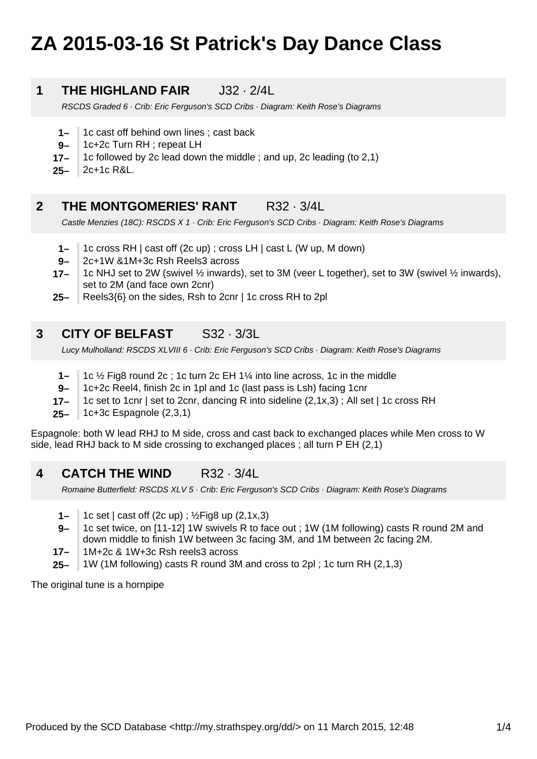# **ZA 2015-03-16 St Patrick's Day Dance Class**

# **1 THE HIGHLAND FAIR J32 · 2/4L**

RSCDS Graded 6 · Crib: Eric Ferguson's SCD Cribs · Diagram: Keith Rose's Diagrams

- **1–** 1c cast off behind own lines ; cast back
- **9–** 1c+2c Turn RH ; repeat LH
- **17–** 1c followed by 2c lead down the middle ; and up, 2c leading (to 2,1)

**25–** 2c+1c R&L.

# **2 THE MONTGOMERIES' RANT R32 · 3/4L**

Castle Menzies (18C): RSCDS X 1 · Crib: Eric Ferguson's SCD Cribs · Diagram: Keith Rose's Diagrams

- **1–** 1c cross RH | cast off (2c up) ; cross LH | cast L (W up, M down)
- **9–** 2c+1W &1M+3c Rsh Reels3 across
- **17–** 1c NHJ set to 2W (swivel ½ inwards), set to 3M (veer L together), set to 3W (swivel ½ inwards), set to 2M (and face own 2cnr)
- **25–** Reels3{6} on the sides, Rsh to 2cnr | 1c cross RH to 2pl

### **3 CITY OF BELFAST** S32 · 3/3L

Lucy Mulholland: RSCDS XLVIII 6 · Crib: Eric Ferguson's SCD Cribs · Diagram: Keith Rose's Diagrams

- **1–** 1c ½ Fig8 round 2c ; 1c turn 2c EH 1¼ into line across, 1c in the middle
- **9–** 1c+2c Reel4, finish 2c in 1pl and 1c (last pass is Lsh) facing 1cnr
- **17–** 1c set to 1cnr | set to 2cnr, dancing R into sideline (2,1x,3) ; All set | 1c cross RH
- **25–** 1c+3c Espagnole (2,3,1)

Espagnole: both W lead RHJ to M side, cross and cast back to exchanged places while Men cross to W side, lead RHJ back to M side crossing to exchanged places ; all turn P EH (2,1)

**4 CATCH THE WIND** R32 · 3/4L

Romaine Butterfield: RSCDS XLV 5 · Crib: Eric Ferguson's SCD Cribs · Diagram: Keith Rose's Diagrams

- **1–** 1c set | cast off (2c up) ; ½Fig8 up (2,1x,3)
- **9–** 1c set twice, on [11-12] 1W swivels R to face out ; 1W (1M following) casts R round 2M and down middle to finish 1W between 3c facing 3M, and 1M between 2c facing 2M.
- **17–** 1M+2c & 1W+3c Rsh reels3 across
- **25–** 1W (1M following) casts R round 3M and cross to 2pl ; 1c turn RH (2,1,3)

The original tune is a hornpipe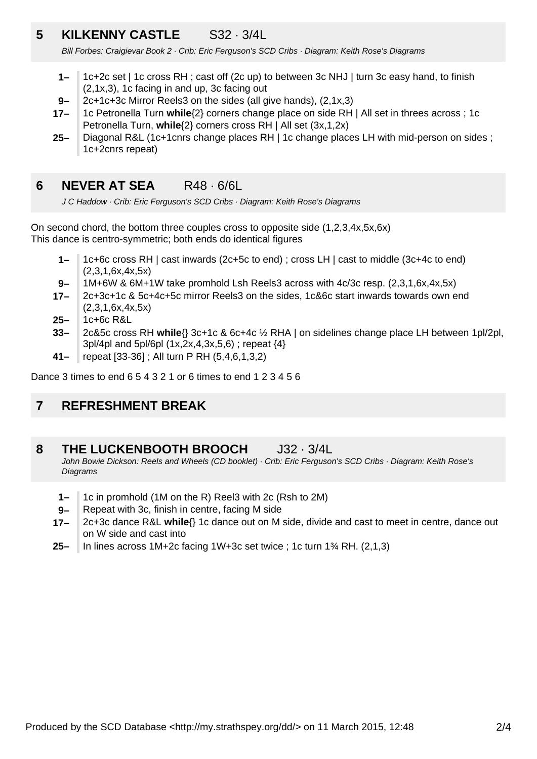# **5 KILKENNY CASTLE** S32 · 3/4L

Bill Forbes: Craigievar Book 2 · Crib: Eric Ferguson's SCD Cribs · Diagram: Keith Rose's Diagrams

- **1–** 1c+2c set | 1c cross RH ; cast off (2c up) to between 3c NHJ | turn 3c easy hand, to finish (2,1x,3), 1c facing in and up, 3c facing out
- **9–** 2c+1c+3c Mirror Reels3 on the sides (all give hands), (2,1x,3)
- **17–** 1c Petronella Turn **while**{2} corners change place on side RH | All set in threes across ; 1c Petronella Turn, **while**{2} corners cross RH | All set (3x,1,2x)
- **25–** Diagonal R&L (1c+1cnrs change places RH | 1c change places LH with mid-person on sides ; 1c+2cnrs repeat)

### **6 NEVER AT SEA** R48 · 6/6L

J C Haddow · Crib: Eric Ferguson's SCD Cribs · Diagram: Keith Rose's Diagrams

On second chord, the bottom three couples cross to opposite side (1,2,3,4x,5x,6x) This dance is centro-symmetric; both ends do identical figures

- **1–** 1c+6c cross RH | cast inwards (2c+5c to end) ; cross LH | cast to middle (3c+4c to end) (2,3,1,6x,4x,5x)
- **9–** 1M+6W & 6M+1W take promhold Lsh Reels3 across with 4c/3c resp. (2,3,1,6x,4x,5x)
- **17–** 2c+3c+1c & 5c+4c+5c mirror Reels3 on the sides, 1c&6c start inwards towards own end (2,3,1,6x,4x,5x)
- **25–** 1c+6c R&L
- **33–** 2c&5c cross RH **while**{} 3c+1c & 6c+4c ½ RHA | on sidelines change place LH between 1pl/2pl, 3pl/4pl and 5pl/6pl (1x,2x,4,3x,5,6) ; repeat {4}
- **41–** repeat [33-36] ; All turn P RH (5,4,6,1,3,2)

Dance 3 times to end 6 5 4 3 2 1 or 6 times to end 1 2 3 4 5 6

### **7 REFRESHMENT BREAK**

#### **8 THE LUCKENBOOTH BROOCH** J32 · 3/4L

John Bowie Dickson: Reels and Wheels (CD booklet) · Crib: Eric Ferguson's SCD Cribs · Diagram: Keith Rose's **Diagrams** 

- **1–** 1c in promhold (1M on the R) Reel3 with 2c (Rsh to 2M)
- **9–** Repeat with 3c, finish in centre, facing M side
- **17–** 2c+3c dance R&L **while**{} 1c dance out on M side, divide and cast to meet in centre, dance out on W side and cast into
- **25–** In lines across 1M+2c facing 1W+3c set twice ; 1c turn 1¾ RH. (2,1,3)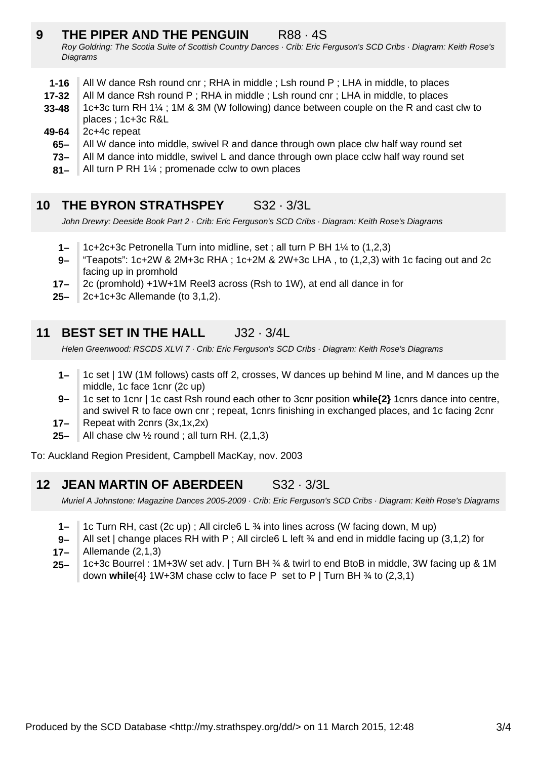# **9 THE PIPER AND THE PENGUIN** R88 · 4S

Roy Goldring: The Scotia Suite of Scottish Country Dances · Crib: Eric Ferguson's SCD Cribs · Diagram: Keith Rose's **Diagrams** 

- **1-16** All W dance Rsh round cnr; RHA in middle; Lsh round P; LHA in middle, to places
- **17-32** All M dance Rsh round P ; RHA in middle ; Lsh round cnr ; LHA in middle, to places
- **33-48** 1c+3c turn RH 1¼ ; 1M & 3M (W following) dance between couple on the R and cast clw to places ; 1c+3c R&L
- **49-64** 2c+4c repeat
	- **65–** All W dance into middle, swivel R and dance through own place clw half way round set
	- **73–** All M dance into middle, swivel L and dance through own place cclw half way round set
	- **81–** All turn P RH 1¼ ; promenade cclw to own places

# **10 THE BYRON STRATHSPEY** S32 · 3/3L

John Drewry: Deeside Book Part 2 · Crib: Eric Ferguson's SCD Cribs · Diagram: Keith Rose's Diagrams

- **1–** 1c+2c+3c Petronella Turn into midline, set ; all turn P BH 1¼ to (1,2,3)
- **9–** "Teapots": 1c+2W & 2M+3c RHA ; 1c+2M & 2W+3c LHA, to  $(1,2,3)$  with 1c facing out and 2c facing up in promhold
- **17–** 2c (promhold) +1W+1M Reel3 across (Rsh to 1W), at end all dance in for
- **25–** 2c+1c+3c Allemande (to 3,1,2).

# **11 BEST SET IN THE HALL J32 · 3/4L**

Helen Greenwood: RSCDS XLVI 7 · Crib: Eric Ferguson's SCD Cribs · Diagram: Keith Rose's Diagrams

- **1–** 1c set | 1W (1M follows) casts off 2, crosses, W dances up behind M line, and M dances up the middle, 1c face 1cnr (2c up)
- **9–** 1c set to 1cnr | 1c cast Rsh round each other to 3cnr position **while{2}** 1cnrs dance into centre, and swivel R to face own cnr ; repeat, 1cnrs finishing in exchanged places, and 1c facing 2cnr
- **17–** Repeat with 2cnrs (3x,1x,2x)
- **25–** All chase clw ½ round ; all turn RH. (2,1,3)

To: Auckland Region President, Campbell MacKay, nov. 2003

# **12 JEAN MARTIN OF ABERDEEN** S32 · 3/3L

Muriel A Johnstone: Magazine Dances 2005-2009 · Crib: Eric Ferguson's SCD Cribs · Diagram: Keith Rose's Diagrams

- **1–** 1c Turn RH, cast (2c up) ; All circle6 L ¾ into lines across (W facing down, M up)
- **9–** All set | change places RH with P ; All circle6 L left  $\frac{3}{4}$  and end in middle facing up (3.1.2) for
- **17–** Allemande (2,1,3)
- **25–** 1c+3c Bourrel : 1M+3W set adv. | Turn BH ¾ & twirl to end BtoB in middle, 3W facing up & 1M down **while**{4} 1W+3M chase cclw to face P set to P | Turn BH ¾ to (2,3,1)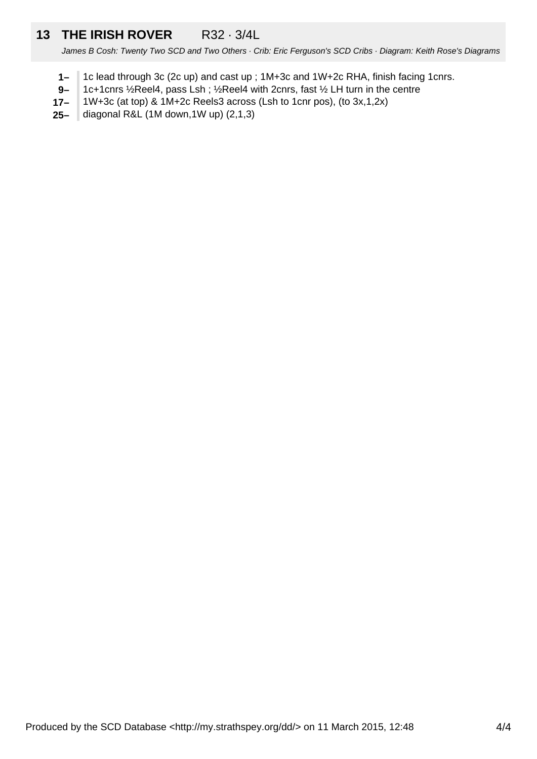# **13 THE IRISH ROVER** R32 · 3/4L

James B Cosh: Twenty Two SCD and Two Others · Crib: Eric Ferguson's SCD Cribs · Diagram: Keith Rose's Diagrams

- **1–** 1c lead through 3c (2c up) and cast up ; 1M+3c and 1W+2c RHA, finish facing 1cnrs.
- **9–** 1c+1cnrs ½Reel4, pass Lsh ; ½Reel4 with 2cnrs, fast ½ LH turn in the centre
- **17–** 1W+3c (at top) & 1M+2c Reels3 across (Lsh to 1cnr pos), (to 3x,1,2x)
- **25–** diagonal R&L (1M down,1W up) (2,1,3)